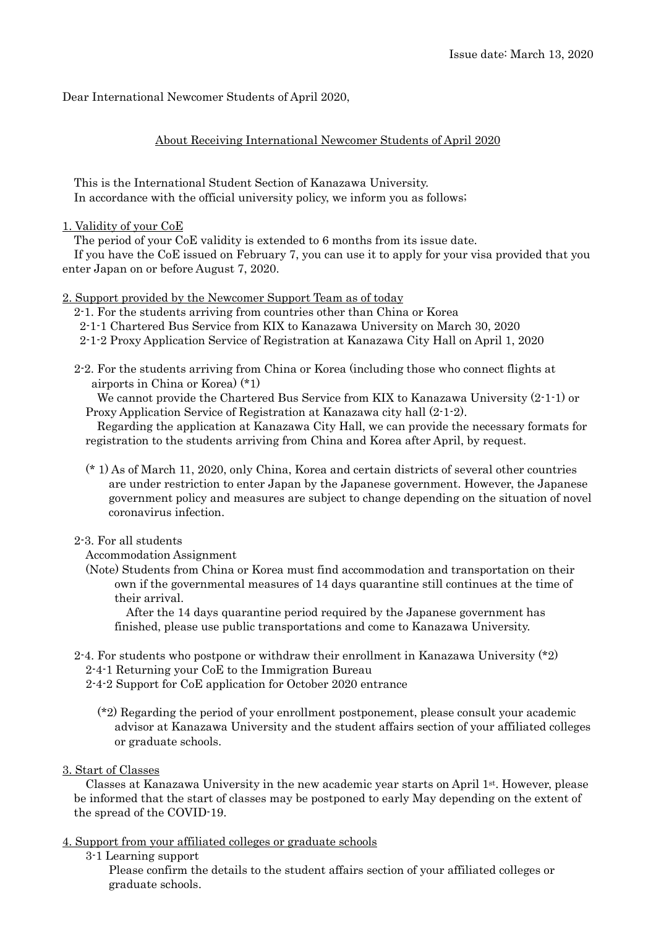Dear International Newcomer Students of April 2020,

About Receiving International Newcomer Students of April 2020

This is the International Student Section of Kanazawa University. In accordance with the official university policy, we inform you as follows;

## 1. Validity of your CoE

The period of your CoE validity is extended to 6 months from its issue date.

If you have the CoE issued on February 7, you can use it to apply for your visa provided that you enter Japan on or before August 7, 2020.

2. Support provided by the Newcomer Support Team as of today

2-1. For the students arriving from countries other than China or Korea

- 2-1-1 Chartered Bus Service from KIX to Kanazawa University on March 30, 2020
- 2-1-2 Proxy Application Service of Registration at Kanazawa City Hall on April 1, 2020
- 2-2. For the students arriving from China or Korea (including those who connect flights at airports in China or Korea) (\*1)

We cannot provide the Chartered Bus Service from KIX to Kanazawa University (2-1-1) or Proxy Application Service of Registration at Kanazawa city hall (2-1-2).

Regarding the application at Kanazawa City Hall, we can provide the necessary formats for registration to the students arriving from China and Korea after April, by request.

(\* 1) As of March 11, 2020, only China, Korea and certain districts of several other countries are under restriction to enter Japan by the Japanese government. However, the Japanese government policy and measures are subject to change depending on the situation of novel coronavirus infection.

## 2-3. For all students

- Accommodation Assignment
- (Note) Students from China or Korea must find accommodation and transportation on their own if the governmental measures of 14 days quarantine still continues at the time of their arrival.

After the 14 days quarantine period required by the Japanese government has finished, please use public transportations and come to Kanazawa University.

- 2-4. For students who postpone or withdraw their enrollment in Kanazawa University  $(*)$ 2-4-1 Returning your CoE to the Immigration Bureau
	- 2-4-2 Support for CoE application for October 2020 entrance
		- (\*2) Regarding the period of your enrollment postponement, please consult your academic advisor at Kanazawa University and the student affairs section of your affiliated colleges or graduate schools.
- 3. Start of Classes

Classes at Kanazawa University in the new academic year starts on April 1st. However, please be informed that the start of classes may be postponed to early May depending on the extent of the spread of the COVID-19.

- 4. Support from your affiliated colleges or graduate schools
	- 3-1 Learning support

Please confirm the details to the student affairs section of your affiliated colleges or graduate schools.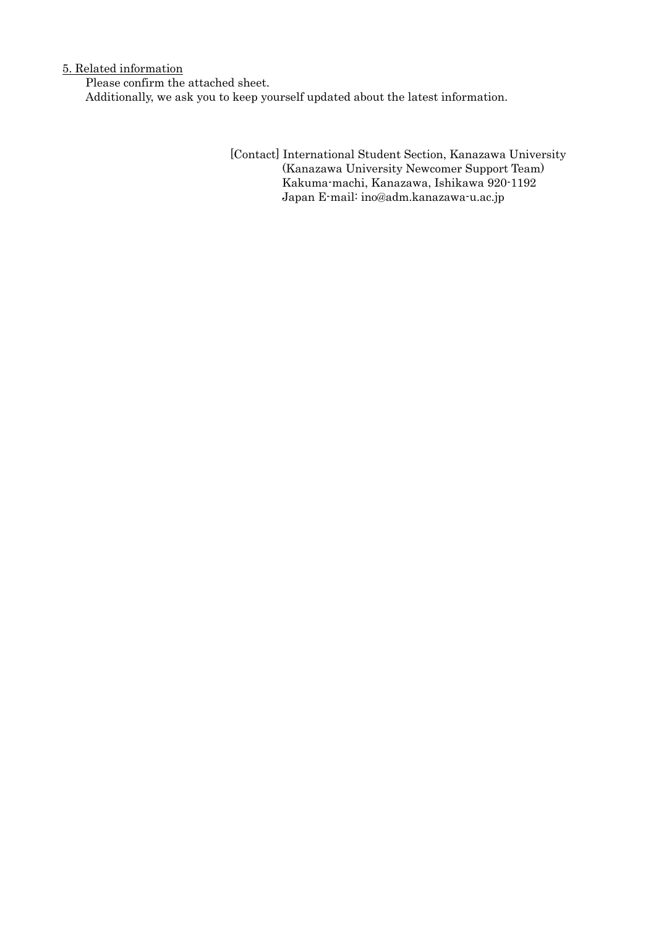## 5. Related information

Please confirm the attached sheet. Additionally, we ask you to keep yourself updated about the latest information.

> [Contact] International Student Section, Kanazawa University (Kanazawa University Newcomer Support Team) Kakuma-machi, Kanazawa, Ishikawa 920-1192 Japan E-mail: ino@adm.kanazawa-u.ac.jp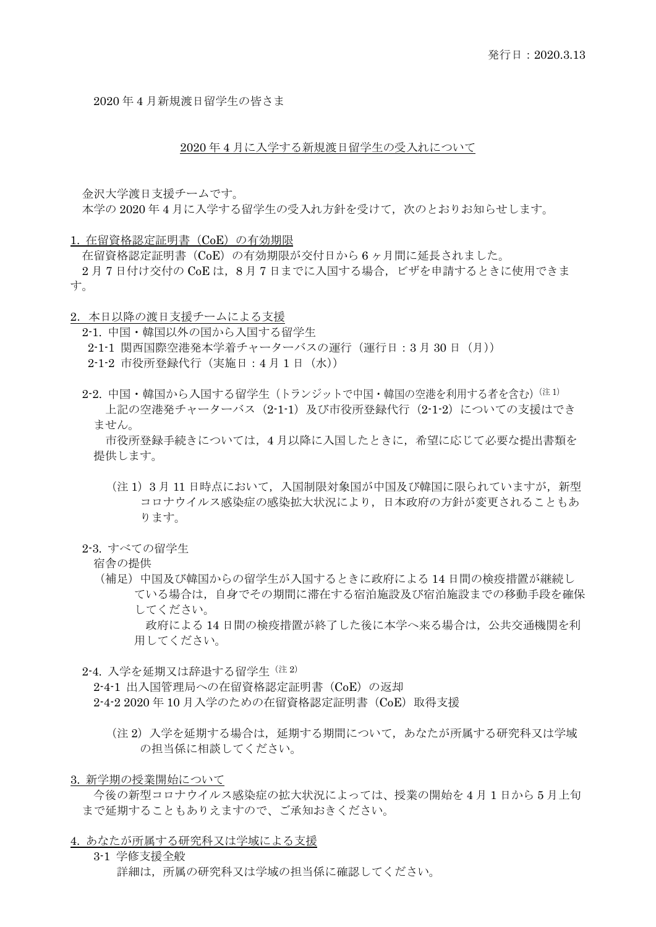2020 年 4 月新規渡日留学生の皆さま

2020 年 4 月に入学する新規渡日留学生の受入れについて

金沢大学渡日支援チームです。 本学の 2020年4月に入学する留学生の受入れ方針を受けて、次のとおりお知らせします。

1. 在留資格認定証明書(CoE)の有効期限

在留資格認定証明書(CoE)の有効期限が交付日から 6 ヶ月間に延長されました。

2月7日付け交付の CoE は、8月7日までに入国する場合、ビザを申請するときに使用できま す。

2.本日以降の渡日支援チームによる支援

2-1. 中国・韓国以外の国から入国する留学生 2-1-1 関西国際空港発本学着チャーターバスの運行(運行日: 3月 30日(月)) 2-1-2 市役所登録代行(実施日:4 月 1 日(水))

 $2$ ·2. 中国·韓国から入国する留学生(トランジットで中国·韓国の空港を利用する者を含む) $(2-1)$ 上記の空港発チャーターバス (2-1-1)及び市役所登録代行 (2-1-2) についての支援はでき ません。

市役所登録手続きについては,4 月以降に入国したときに,希望に応じて必要な提出書類を 提供します。

- (注1) 3月11日時点において、入国制限対象国が中国及び韓国に限られていますが、新型 コロナウイルス感染症の感染拡大状況により,日本政府の方針が変更されることもあ ります。
- 2-3. すべての留学生

宿舎の提供

(補足)中国及び韓国からの留学生が入国するときに政府による 14 日間の検疫措置が継続し ている場合は,自身でその期間に滞在する宿泊施設及び宿泊施設までの移動手段を確保 してください。

政府による 14 日間の検疫措置が終了した後に本学へ来る場合は、公共交通機関を利 用してください。

- 2-4. 入学を延期又は辞退する留学生<sup>(注2)</sup>
	- 2-4-1 出入国管理局への在留資格認定証明書(CoE)の返却 2-4-2 2020 年 10 月入学のための在留資格認定証明書(CoE)取得支援
		- (注 2)入学を延期する場合は,延期する期間について,あなたが所属する研究科又は学域 の担当係に相談してください。
- 3. 新学期の授業開始について

今後の新型コロナウイルス感染症の拡大状況によっては、授業の開始を 4 月 1 日から 5 月上旬 まで延期することもありえますので、ご承知おきください。

- 4. あなたが所属する研究科又は学域による支援
	- 3-1 学修支援全般 詳細は,所属の研究科又は学域の担当係に確認してください。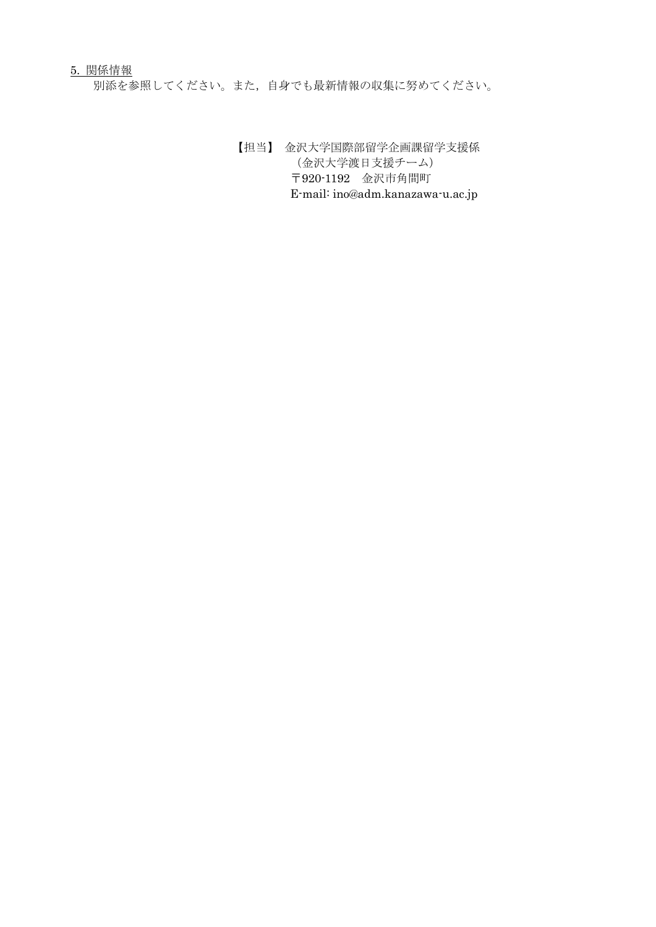5. 関係情報

別添を参照してください。また,自身でも最新情報の収集に努めてください。

【担当】 金沢大学国際部留学企画課留学支援係 (金沢大学渡日支援チーム) 〒920-1192 金沢市角間町 E-mail: ino@adm.kanazawa-u.ac.jp